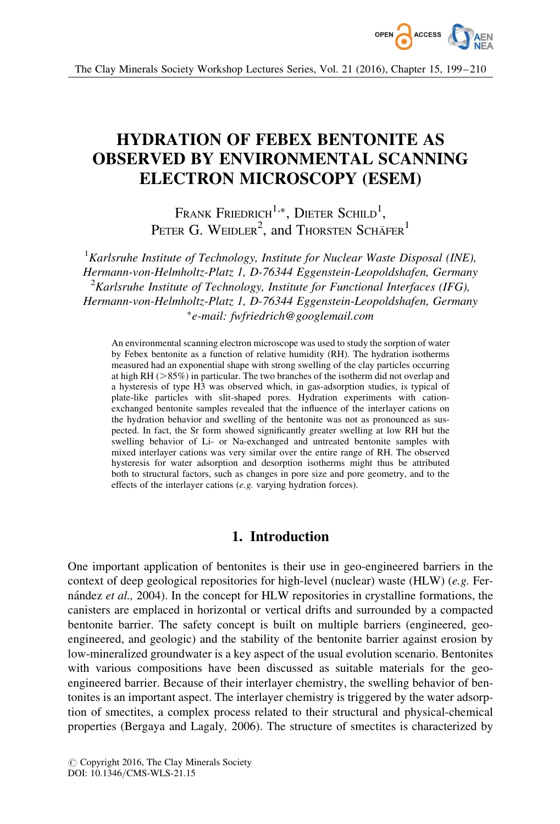

The Clay Minerals Society Workshop Lectures Series, Vol. 21 (2016), Chapter 15, 199–210

# HYDRATION OF FEBEX BENTONITE AS OBSERVED BY ENVIRONMENTAL SCANNING ELECTRON MICROSCOPY (ESEM)

Frank Friedrich<sup>1,\*</sup>, Dieter Schild<sup>1</sup>, PETER G. WEIDLER<sup>2</sup>, and Thorsten Schäfer<sup>1</sup>

 ${}^{1}$ Karlsruhe Institute of Technology, Institute for Nuclear Waste Disposal (INE), Hermann-von-Helmholtz-Platz 1, D-76344 Eggenstein-Leopoldshafen, Germany  ${}^{2}$ Karlsruhe Institute of Technology, Institute for Functional Interfaces (IFG), Hermann-von-Helmholtz-Platz 1, D-76344 Eggenstein-Leopoldshafen, Germany -e-mail: fwfriedrich@googlemail.com

An environmental scanning electron microscope was used to study the sorption of water by Febex bentonite as a function of relative humidity (RH). The hydration isotherms measured had an exponential shape with strong swelling of the clay particles occurring at high RH ( $>85\%$ ) in particular. The two branches of the isotherm did not overlap and a hysteresis of type H3 was observed which, in gas-adsorption studies, is typical of plate-like particles with slit-shaped pores. Hydration experiments with cationexchanged bentonite samples revealed that the influence of the interlayer cations on the hydration behavior and swelling of the bentonite was not as pronounced as suspected. In fact, the Sr form showed significantly greater swelling at low RH but the swelling behavior of Li- or Na-exchanged and untreated bentonite samples with mixed interlayer cations was very similar over the entire range of RH. The observed hysteresis for water adsorption and desorption isotherms might thus be attributed both to structural factors, such as changes in pore size and pore geometry, and to the effects of the interlayer cations (e.g. varying hydration forces).

# 1. Introduction

One important application of bentonites is their use in geo-engineered barriers in the context of deep geological repositories for high-level (nuclear) waste (HLW) (e.g. Fernández *et al.*, 2004). In the concept for HLW repositories in crystalline formations, the canisters are emplaced in horizontal or vertical drifts and surrounded by a compacted bentonite barrier. The safety concept is built on multiple barriers (engineered, geoengineered, and geologic) and the stability of the bentonite barrier against erosion by low-mineralized groundwater is a key aspect of the usual evolution scenario. Bentonites with various compositions have been discussed as suitable materials for the geoengineered barrier. Because of their interlayer chemistry, the swelling behavior of bentonites is an important aspect. The interlayer chemistry is triggered by the water adsorption of smectites, a complex process related to their structural and physical-chemical properties (Bergaya and Lagaly, 2006). The structure of smectites is characterized by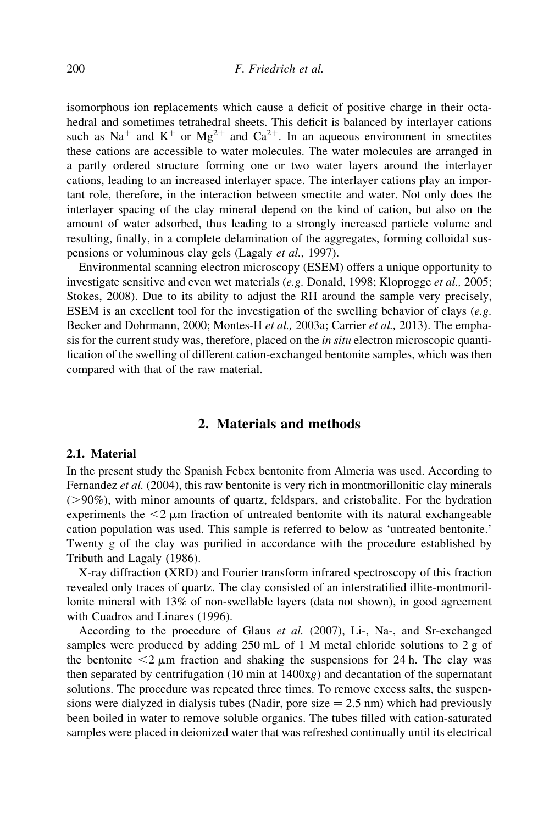isomorphous ion replacements which cause a deficit of positive charge in their octahedral and sometimes tetrahedral sheets. This deficit is balanced by interlayer cations such as Na<sup>+</sup> and K<sup>+</sup> or Mg<sup>2+</sup> and Ca<sup>2+</sup>. In an aqueous environment in smectites these cations are accessible to water molecules. The water molecules are arranged in a partly ordered structure forming one or two water layers around the interlayer cations, leading to an increased interlayer space. The interlayer cations play an important role, therefore, in the interaction between smectite and water. Not only does the interlayer spacing of the clay mineral depend on the kind of cation, but also on the amount of water adsorbed, thus leading to a strongly increased particle volume and resulting, finally, in a complete delamination of the aggregates, forming colloidal suspensions or voluminous clay gels (Lagaly et al., 1997).

Environmental scanning electron microscopy (ESEM) offers a unique opportunity to investigate sensitive and even wet materials (e.g. Donald, 1998; Kloprogge et al., 2005; Stokes, 2008). Due to its ability to adjust the RH around the sample very precisely, ESEM is an excellent tool for the investigation of the swelling behavior of clays (e.g. Becker and Dohrmann, 2000; Montes-H et al., 2003a; Carrier et al., 2013). The emphasis for the current study was, therefore, placed on the in situ electron microscopic quantification of the swelling of different cation-exchanged bentonite samples, which was then compared with that of the raw material.

## 2. Materials and methods

#### 2.1. Material

In the present study the Spanish Febex bentonite from Almeria was used. According to Fernandez et al. (2004), this raw bentonite is very rich in montmorillonitic clay minerals  $(0.90\%)$ , with minor amounts of quartz, feldspars, and cristobalite. For the hydration experiments the  $\leq 2 \mu m$  fraction of untreated bentonite with its natural exchangeable cation population was used. This sample is referred to below as 'untreated bentonite.' Twenty g of the clay was purified in accordance with the procedure established by Tributh and Lagaly (1986).

X-ray diffraction (XRD) and Fourier transform infrared spectroscopy of this fraction revealed only traces of quartz. The clay consisted of an interstratified illite-montmorillonite mineral with 13% of non-swellable layers (data not shown), in good agreement with Cuadros and Linares (1996).

According to the procedure of Glaus et al. (2007), Li-, Na-, and Sr-exchanged samples were produced by adding 250 mL of 1 M metal chloride solutions to 2 g of the bentonite  $\lt 2 \mu m$  fraction and shaking the suspensions for 24 h. The clay was then separated by centrifugation (10 min at  $1400xg$ ) and decantation of the supernatant solutions. The procedure was repeated three times. To remove excess salts, the suspensions were dialyzed in dialysis tubes (Nadir, pore size  $= 2.5$  nm) which had previously been boiled in water to remove soluble organics. The tubes filled with cation-saturated samples were placed in deionized water that was refreshed continually until its electrical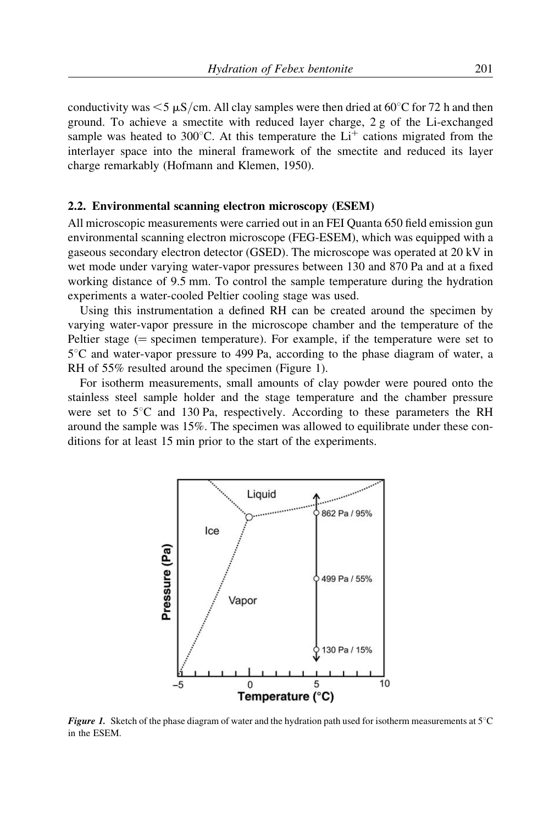conductivity was  $\leq 5 \mu S/cm$ . All clay samples were then dried at 60°C for 72 h and then ground. To achieve a smectite with reduced layer charge, 2 g of the Li-exchanged sample was heated to 300 $^{\circ}$ C. At this temperature the Li<sup>+</sup> cations migrated from the interlayer space into the mineral framework of the smectite and reduced its layer charge remarkably (Hofmann and Klemen, 1950).

#### 2.2. Environmental scanning electron microscopy (ESEM)

All microscopic measurements were carried out in an FEI Quanta 650 field emission gun environmental scanning electron microscope (FEG-ESEM), which was equipped with a gaseous secondary electron detector (GSED). The microscope was operated at 20 kV in wet mode under varying water-vapor pressures between 130 and 870 Pa and at a fixed working distance of 9.5 mm. To control the sample temperature during the hydration experiments a water-cooled Peltier cooling stage was used.

Using this instrumentation a defined RH can be created around the specimen by varying water-vapor pressure in the microscope chamber and the temperature of the Peltier stage ( $=$  specimen temperature). For example, if the temperature were set to  $5^{\circ}$ C and water-vapor pressure to 499 Pa, according to the phase diagram of water, a RH of 55% resulted around the specimen (Figure 1).

For isotherm measurements, small amounts of clay powder were poured onto the stainless steel sample holder and the stage temperature and the chamber pressure were set to  $5^{\circ}$ C and 130 Pa, respectively. According to these parameters the RH around the sample was 15%. The specimen was allowed to equilibrate under these conditions for at least 15 min prior to the start of the experiments.



**Figure 1.** Sketch of the phase diagram of water and the hydration path used for isotherm measurements at  $5^{\circ}$ C in the ESEM.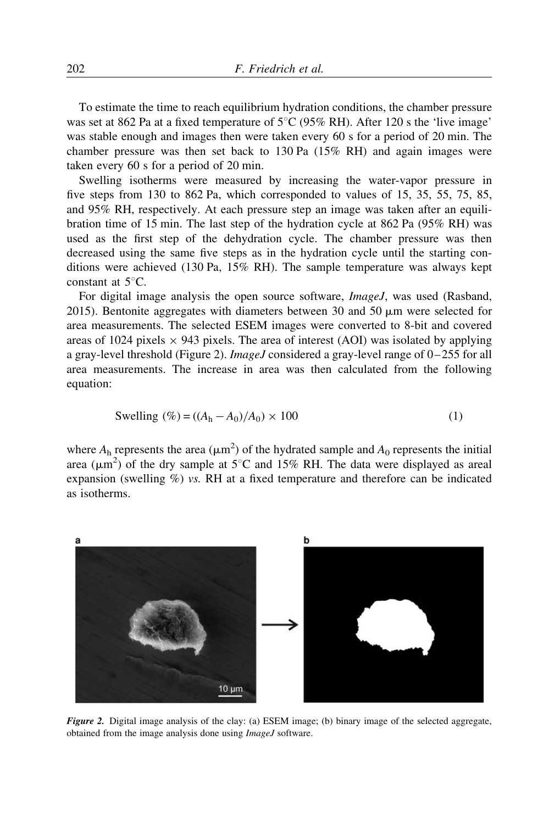To estimate the time to reach equilibrium hydration conditions, the chamber pressure was set at 862 Pa at a fixed temperature of  $5^{\circ}$ C (95% RH). After 120 s the 'live image' was stable enough and images then were taken every 60 s for a period of 20 min. The chamber pressure was then set back to 130 Pa (15% RH) and again images were taken every 60 s for a period of 20 min.

Swelling isotherms were measured by increasing the water-vapor pressure in five steps from 130 to 862 Pa, which corresponded to values of 15, 35, 55, 75, 85, and 95% RH, respectively. At each pressure step an image was taken after an equilibration time of 15 min. The last step of the hydration cycle at 862 Pa (95% RH) was used as the first step of the dehydration cycle. The chamber pressure was then decreased using the same five steps as in the hydration cycle until the starting conditions were achieved (130 Pa, 15% RH). The sample temperature was always kept constant at  $5^{\circ}$ C.

For digital image analysis the open source software, ImageJ, was used (Rasband, 2015). Bentonite aggregates with diameters between 30 and 50  $\mu$ m were selected for area measurements. The selected ESEM images were converted to 8-bit and covered areas of 1024 pixels  $\times$  943 pixels. The area of interest (AOI) was isolated by applying a gray-level threshold (Figure 2). *ImageJ* considered a gray-level range of  $0-255$  for all area measurements. The increase in area was then calculated from the following equation:

Swelling (
$$
\% = ((A_h - A_0)/A_0) \times 100
$$
 (1)

where  $A_h$  represents the area ( $\mu$ m<sup>2</sup>) of the hydrated sample and  $A_0$  represents the initial area ( $\mu$ m<sup>2</sup>) of the dry sample at 5°C and 15% RH. The data were displayed as areal expansion (swelling %) vs. RH at a fixed temperature and therefore can be indicated as isotherms.



Figure 2. Digital image analysis of the clay: (a) ESEM image; (b) binary image of the selected aggregate, obtained from the image analysis done using ImageJ software.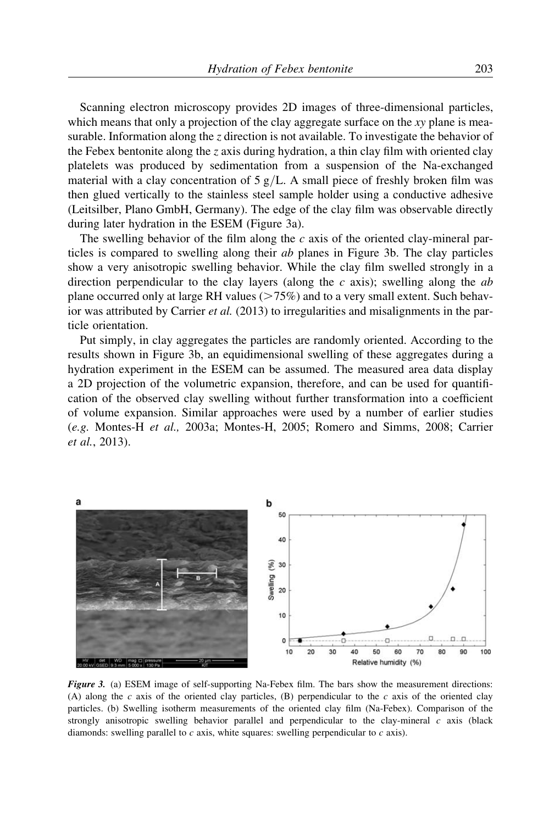Scanning electron microscopy provides 2D images of three-dimensional particles, which means that only a projection of the clay aggregate surface on the  $xy$  plane is measurable. Information along the z direction is not available. To investigate the behavior of the Febex bentonite along the z axis during hydration, a thin clay film with oriented clay platelets was produced by sedimentation from a suspension of the Na-exchanged material with a clay concentration of  $5 g/L$ . A small piece of freshly broken film was then glued vertically to the stainless steel sample holder using a conductive adhesive (Leitsilber, Plano GmbH, Germany). The edge of the clay film was observable directly during later hydration in the ESEM (Figure 3a).

The swelling behavior of the film along the c axis of the oriented clay-mineral particles is compared to swelling along their ab planes in Figure 3b. The clay particles show a very anisotropic swelling behavior. While the clay film swelled strongly in a direction perpendicular to the clay layers (along the  $c$  axis); swelling along the  $ab$ plane occurred only at large RH values  $(>= 75%)$  and to a very small extent. Such behavior was attributed by Carrier *et al.* (2013) to irregularities and misalignments in the particle orientation.

Put simply, in clay aggregates the particles are randomly oriented. According to the results shown in Figure 3b, an equidimensional swelling of these aggregates during a hydration experiment in the ESEM can be assumed. The measured area data display a 2D projection of the volumetric expansion, therefore, and can be used for quantification of the observed clay swelling without further transformation into a coefficient of volume expansion. Similar approaches were used by a number of earlier studies (e.g. Montes-H et al., 2003a; Montes-H, 2005; Romero and Simms, 2008; Carrier et al., 2013).



Figure 3. (a) ESEM image of self-supporting Na-Febex film. The bars show the measurement directions: (A) along the c axis of the oriented clay particles, (B) perpendicular to the c axis of the oriented clay particles. (b) Swelling isotherm measurements of the oriented clay film (Na-Febex). Comparison of the strongly anisotropic swelling behavior parallel and perpendicular to the clay-mineral  $c$  axis (black diamonds: swelling parallel to  $c$  axis, white squares: swelling perpendicular to  $c$  axis).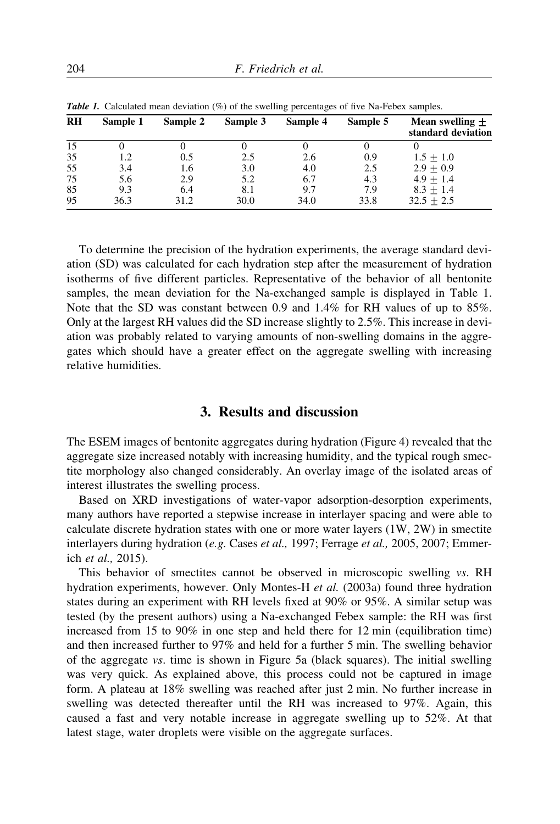| <b>RH</b> |          |          |          | . .      |          |                                         |
|-----------|----------|----------|----------|----------|----------|-----------------------------------------|
|           | Sample 1 | Sample 2 | Sample 3 | Sample 4 | Sample 5 | Mean swelling $+$<br>standard deviation |
| 15        |          |          |          |          |          |                                         |
| 35        | 1.2      | 0.5      | 2.5      | 2.6      | 0.9      | $1.5 + 1.0$                             |
| 55        | 3.4      | 1.6      | 3.0      | 4.0      | 2.5      | $2.9 + 0.9$                             |
| 75        | 5.6      | 2.9      | 5.2      | 6.7      | 4.3      | $4.9 + 1.4$                             |
| 85        | 9.3      | 6.4      | 8.1      | 9.7      | 7.9      | $8.3 + 1.4$                             |
| 95        | 36.3     | 31.2     | 30.0     | 34.0     | 33.8     | $32.5 \pm 2.5$                          |

**Table 1.** Calculated mean deviation (%) of the swelling percentages of five Na-Febex samples.

To determine the precision of the hydration experiments, the average standard deviation (SD) was calculated for each hydration step after the measurement of hydration isotherms of five different particles. Representative of the behavior of all bentonite samples, the mean deviation for the Na-exchanged sample is displayed in Table 1. Note that the SD was constant between 0.9 and 1.4% for RH values of up to 85%. Only at the largest RH values did the SD increase slightly to 2.5%. This increase in deviation was probably related to varying amounts of non-swelling domains in the aggregates which should have a greater effect on the aggregate swelling with increasing relative humidities.

# 3. Results and discussion

The ESEM images of bentonite aggregates during hydration (Figure 4) revealed that the aggregate size increased notably with increasing humidity, and the typical rough smectite morphology also changed considerably. An overlay image of the isolated areas of interest illustrates the swelling process.

Based on XRD investigations of water-vapor adsorption-desorption experiments, many authors have reported a stepwise increase in interlayer spacing and were able to calculate discrete hydration states with one or more water layers (1W, 2W) in smectite interlayers during hydration (e.g. Cases et al., 1997; Ferrage et al., 2005, 2007; Emmerich et al., 2015).

This behavior of smectites cannot be observed in microscopic swelling vs. RH hydration experiments, however. Only Montes-H et al. (2003a) found three hydration states during an experiment with RH levels fixed at 90% or 95%. A similar setup was tested (by the present authors) using a Na-exchanged Febex sample: the RH was first increased from 15 to 90% in one step and held there for 12 min (equilibration time) and then increased further to 97% and held for a further 5 min. The swelling behavior of the aggregate vs. time is shown in Figure 5a (black squares). The initial swelling was very quick. As explained above, this process could not be captured in image form. A plateau at 18% swelling was reached after just 2 min. No further increase in swelling was detected thereafter until the RH was increased to 97%. Again, this caused a fast and very notable increase in aggregate swelling up to 52%. At that latest stage, water droplets were visible on the aggregate surfaces.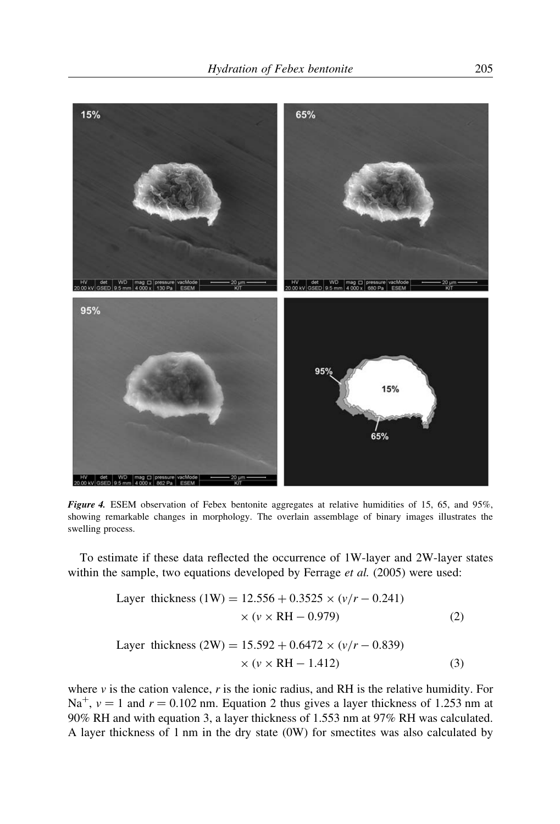

Figure 4. ESEM observation of Febex bentonite aggregates at relative humidities of 15, 65, and 95%, showing remarkable changes in morphology. The overlain assemblage of binary images illustrates the swelling process.

To estimate if these data reflected the occurrence of 1W-layer and 2W-layer states within the sample, two equations developed by Ferrage et al. (2005) were used:

Layer thickness (1W) = 
$$
12.556 + 0.3525 \times (v/r - 0.241)
$$

\n $\times (v \times RH - 0.979)$ 

\n(2)

\nLayer thickness (2W) =  $15.592 + 0.6472 \times (v/r - 0.839)$ 

$$
\times (v \times RH - 1.412)
$$
 (3)

where  $\nu$  is the cation valence,  $r$  is the ionic radius, and RH is the relative humidity. For Na<sup>+</sup>,  $v = 1$  and  $r = 0.102$  nm. Equation 2 thus gives a layer thickness of 1.253 nm at 90% RH and with equation 3, a layer thickness of 1.553 nm at 97% RH was calculated. A layer thickness of 1 nm in the dry state (0W) for smectites was also calculated by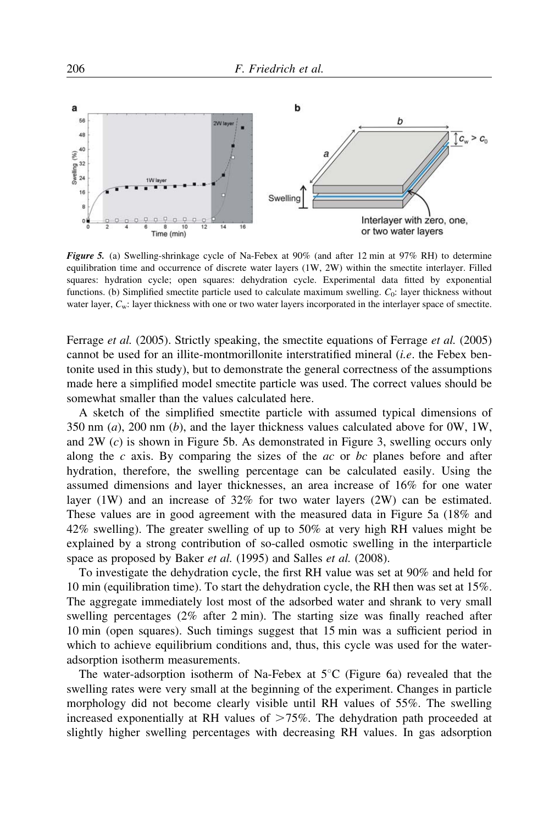

Figure 5. (a) Swelling-shrinkage cycle of Na-Febex at 90% (and after 12 min at 97% RH) to determine equilibration time and occurrence of discrete water layers (1W, 2W) within the smectite interlayer. Filled squares: hydration cycle; open squares: dehydration cycle. Experimental data fitted by exponential functions. (b) Simplified smectite particle used to calculate maximum swelling.  $C_0$ : layer thickness without water layer,  $C_w$ : layer thickness with one or two water layers incorporated in the interlayer space of smectite.

Ferrage *et al.* (2005). Strictly speaking, the smectite equations of Ferrage *et al.* (2005) cannot be used for an illite-montmorillonite interstratified mineral (i.e. the Febex bentonite used in this study), but to demonstrate the general correctness of the assumptions made here a simplified model smectite particle was used. The correct values should be somewhat smaller than the values calculated here.

A sketch of the simplified smectite particle with assumed typical dimensions of 350 nm  $(a)$ , 200 nm  $(b)$ , and the layer thickness values calculated above for 0W, 1W, and  $2W(c)$  is shown in Figure 5b. As demonstrated in Figure 3, swelling occurs only along the c axis. By comparing the sizes of the  $ac$  or bc planes before and after hydration, therefore, the swelling percentage can be calculated easily. Using the assumed dimensions and layer thicknesses, an area increase of 16% for one water layer (1W) and an increase of 32% for two water layers (2W) can be estimated. These values are in good agreement with the measured data in Figure 5a (18% and 42% swelling). The greater swelling of up to 50% at very high RH values might be explained by a strong contribution of so-called osmotic swelling in the interparticle space as proposed by Baker et al. (1995) and Salles et al. (2008).

To investigate the dehydration cycle, the first RH value was set at 90% and held for 10 min (equilibration time). To start the dehydration cycle, the RH then was set at 15%. The aggregate immediately lost most of the adsorbed water and shrank to very small swelling percentages (2% after 2 min). The starting size was finally reached after 10 min (open squares). Such timings suggest that 15 min was a sufficient period in which to achieve equilibrium conditions and, thus, this cycle was used for the wateradsorption isotherm measurements.

The water-adsorption isotherm of Na-Febex at  $5^{\circ}$ C (Figure 6a) revealed that the swelling rates were very small at the beginning of the experiment. Changes in particle morphology did not become clearly visible until RH values of 55%. The swelling increased exponentially at RH values of  $\geq$  75%. The dehydration path proceeded at slightly higher swelling percentages with decreasing RH values. In gas adsorption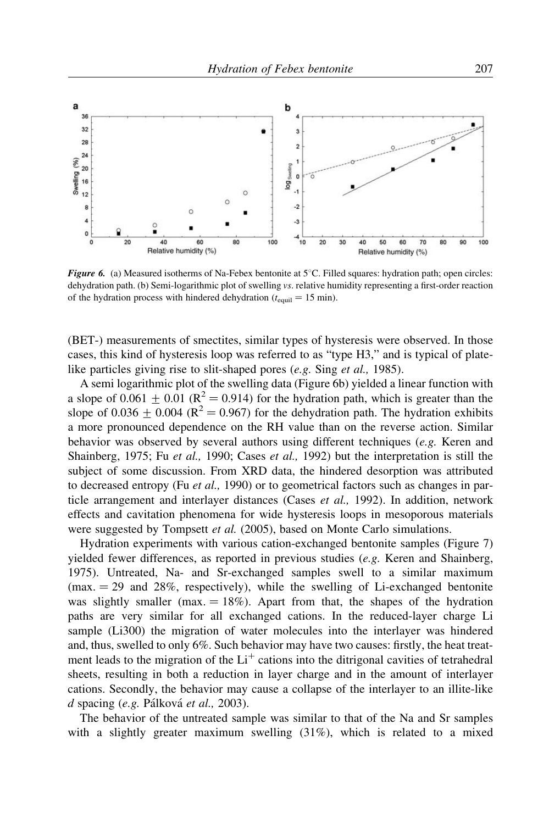

Figure 6. (a) Measured isotherms of Na-Febex bentonite at  $5^{\circ}$ C. Filled squares: hydration path; open circles: dehydration path. (b) Semi-logarithmic plot of swelling vs. relative humidity representing a first-order reaction of the hydration process with hindered dehydration ( $t_{\text{equil}} = 15 \text{ min}$ ).

(BET-) measurements of smectites, similar types of hysteresis were observed. In those cases, this kind of hysteresis loop was referred to as "type H3," and is typical of platelike particles giving rise to slit-shaped pores (e.g. Sing et al., 1985).

A semi logarithmic plot of the swelling data (Figure 6b) yielded a linear function with a slope of  $0.061 + 0.01$  ( $\mathbb{R}^2 = 0.914$ ) for the hydration path, which is greater than the slope of 0.036 + 0.004 ( $R^2 = 0.967$ ) for the dehydration path. The hydration exhibits a more pronounced dependence on the RH value than on the reverse action. Similar behavior was observed by several authors using different techniques  $(e, g)$ . Keren and Shainberg, 1975; Fu et al., 1990; Cases et al., 1992) but the interpretation is still the subject of some discussion. From XRD data, the hindered desorption was attributed to decreased entropy (Fu  $et$  al., 1990) or to geometrical factors such as changes in particle arrangement and interlayer distances (Cases et al., 1992). In addition, network effects and cavitation phenomena for wide hysteresis loops in mesoporous materials were suggested by Tompsett *et al.* (2005), based on Monte Carlo simulations.

Hydration experiments with various cation-exchanged bentonite samples (Figure 7) yielded fewer differences, as reported in previous studies (e.g. Keren and Shainberg, 1975). Untreated, Na- and Sr-exchanged samples swell to a similar maximum  $(max. = 29$  and 28%, respectively), while the swelling of Li-exchanged bentonite was slightly smaller (max.  $= 18\%$ ). Apart from that, the shapes of the hydration paths are very similar for all exchanged cations. In the reduced-layer charge Li sample (Li300) the migration of water molecules into the interlayer was hindered and, thus, swelled to only 6%. Such behavior may have two causes: firstly, the heat treatment leads to the migration of the  $Li<sup>+</sup>$  cations into the ditrigonal cavities of tetrahedral sheets, resulting in both a reduction in layer charge and in the amount of interlayer cations. Secondly, the behavior may cause a collapse of the interlayer to an illite-like  $d$  spacing (e.g. Pálková et al., 2003).

The behavior of the untreated sample was similar to that of the Na and Sr samples with a slightly greater maximum swelling  $(31\%)$ , which is related to a mixed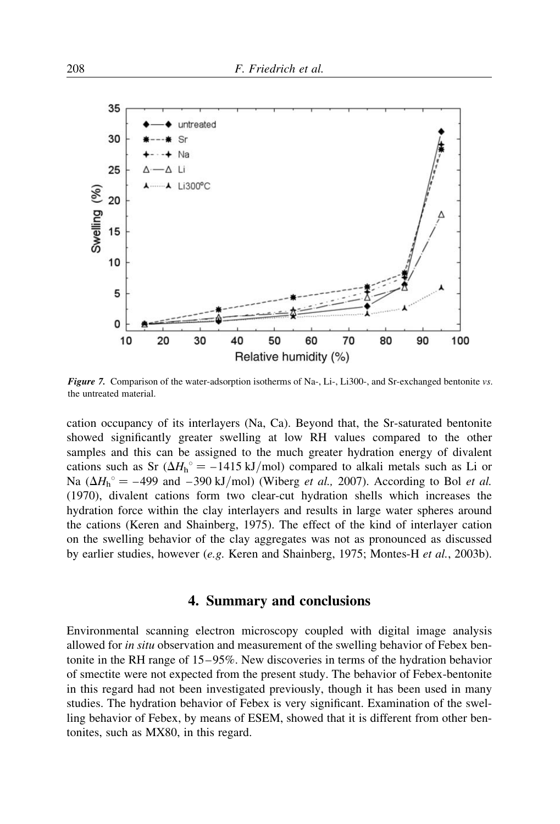

Figure 7. Comparison of the water-adsorption isotherms of Na-, Li-, Li300-, and Sr-exchanged bentonite vs. the untreated material.

cation occupancy of its interlayers (Na, Ca). Beyond that, the Sr-saturated bentonite showed significantly greater swelling at low RH values compared to the other samples and this can be assigned to the much greater hydration energy of divalent cations such as Sr  $(\Delta H_h^{\circ} = -1415 \text{ kJ/mol})$  compared to alkali metals such as Li or Na ( $\Delta H_h^{\circ} = -499$  and  $-390$  kJ/mol) (Wiberg *et al.*, 2007). According to Bol *et al.* (1970), divalent cations form two clear-cut hydration shells which increases the hydration force within the clay interlayers and results in large water spheres around the cations (Keren and Shainberg, 1975). The effect of the kind of interlayer cation on the swelling behavior of the clay aggregates was not as pronounced as discussed by earlier studies, however (e.g. Keren and Shainberg, 1975; Montes-H et al., 2003b).

### 4. Summary and conclusions

Environmental scanning electron microscopy coupled with digital image analysis allowed for *in situ* observation and measurement of the swelling behavior of Febex bentonite in the RH range of 15–95%. New discoveries in terms of the hydration behavior of smectite were not expected from the present study. The behavior of Febex-bentonite in this regard had not been investigated previously, though it has been used in many studies. The hydration behavior of Febex is very significant. Examination of the swelling behavior of Febex, by means of ESEM, showed that it is different from other bentonites, such as MX80, in this regard.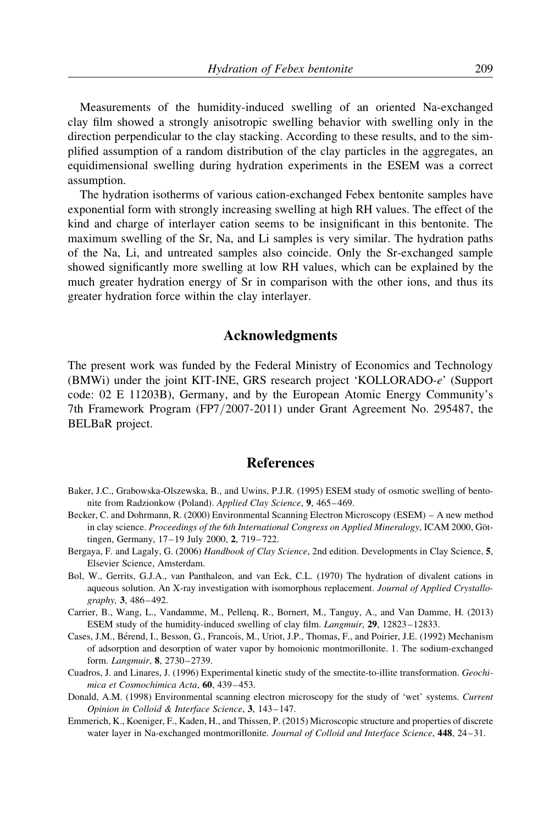Measurements of the humidity-induced swelling of an oriented Na-exchanged clay film showed a strongly anisotropic swelling behavior with swelling only in the direction perpendicular to the clay stacking. According to these results, and to the simplified assumption of a random distribution of the clay particles in the aggregates, an equidimensional swelling during hydration experiments in the ESEM was a correct assumption.

The hydration isotherms of various cation-exchanged Febex bentonite samples have exponential form with strongly increasing swelling at high RH values. The effect of the kind and charge of interlayer cation seems to be insignificant in this bentonite. The maximum swelling of the Sr, Na, and Li samples is very similar. The hydration paths of the Na, Li, and untreated samples also coincide. Only the Sr-exchanged sample showed significantly more swelling at low RH values, which can be explained by the much greater hydration energy of Sr in comparison with the other ions, and thus its greater hydration force within the clay interlayer.

### Acknowledgments

The present work was funded by the Federal Ministry of Economics and Technology (BMWi) under the joint KIT-INE, GRS research project 'KOLLORADO-e' (Support code: 02 E 11203B), Germany, and by the European Atomic Energy Community's 7th Framework Program (FP7/2007-2011) under Grant Agreement No. 295487, the BELBaR project.

### References

- Baker, J.C., Grabowska-Olszewska, B., and Uwins, P.J.R. (1995) ESEM study of osmotic swelling of bentonite from Radzionkow (Poland). Applied Clay Science, 9, 465–469.
- Becker, C. and Dohrmann, R. (2000) Environmental Scanning Electron Microscopy (ESEM) A new method in clay science. Proceedings of the 6th International Congress on Applied Mineralogy, ICAM 2000, Göttingen, Germany, 17–19 July 2000, 2, 719–722.
- Bergaya, F. and Lagaly, G. (2006) Handbook of Clay Science, 2nd edition. Developments in Clay Science, 5, Elsevier Science, Amsterdam.
- Bol, W., Gerrits, G.J.A., van Panthaleon, and van Eck, C.L. (1970) The hydration of divalent cations in aqueous solution. An X-ray investigation with isomorphous replacement. Journal of Applied Crystallography, 3, 486–492.
- Carrier, B., Wang, L., Vandamme, M., Pellenq, R., Bornert, M., Tanguy, A., and Van Damme, H. (2013) ESEM study of the humidity-induced swelling of clay film. Langmuir, 29, 12823–12833.
- Cases, J.M., Bérend, I., Besson, G., Francois, M., Uriot, J.P., Thomas, F., and Poirier, J.E. (1992) Mechanism of adsorption and desorption of water vapor by homoionic montmorillonite. 1. The sodium-exchanged form. Langmuir, 8, 2730–2739.
- Cuadros, J. and Linares, J. (1996) Experimental kinetic study of the smectite-to-illite transformation. Geochimica et Cosmochimica Acta, 60, 439–453.
- Donald, A.M. (1998) Environmental scanning electron microscopy for the study of 'wet' systems. Current Opinion in Colloid & Interface Science, 3, 143–147.
- Emmerich, K., Koeniger, F., Kaden, H., and Thissen, P. (2015) Microscopic structure and properties of discrete water layer in Na-exchanged montmorillonite. Journal of Colloid and Interface Science, 448, 24-31.